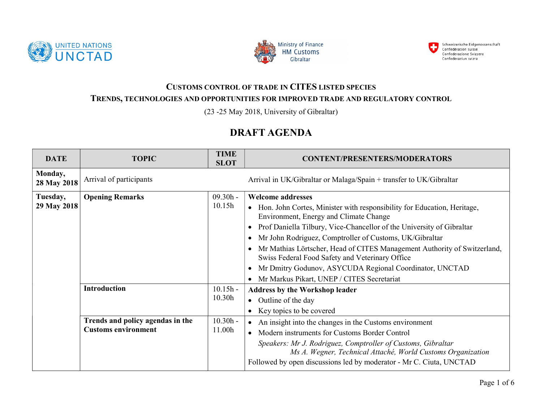





## CUSTOMS CONTROL OF TRADE IN CITES LISTED SPECIES TRENDS, TECHNOLOGIES AND OPPORTUNITIES FOR IMPROVED TRADE AND REGULATORY CONTROL

(23 -25 May 2018, University of Gibraltar)

## DRAFT AGENDA

| <b>DATE</b>             | <b>TOPIC</b>                                                                          | <b>TIME</b><br><b>SLOT</b>                   | <b>CONTENT/PRESENTERS/MODERATORS</b>                                                                                                                                                                                                                                                                                                                                                                                                                                                                                            |
|-------------------------|---------------------------------------------------------------------------------------|----------------------------------------------|---------------------------------------------------------------------------------------------------------------------------------------------------------------------------------------------------------------------------------------------------------------------------------------------------------------------------------------------------------------------------------------------------------------------------------------------------------------------------------------------------------------------------------|
| Monday,<br>28 May 2018  | Arrival of participants                                                               |                                              | Arrival in UK/Gibraltar or Malaga/Spain + transfer to UK/Gibraltar                                                                                                                                                                                                                                                                                                                                                                                                                                                              |
| Tuesday,<br>29 May 2018 | <b>Opening Remarks</b>                                                                | $09.30h -$<br>10.15h                         | <b>Welcome addresses</b><br>• Hon. John Cortes, Minister with responsibility for Education, Heritage,<br>Environment, Energy and Climate Change<br>• Prof Daniella Tilbury, Vice-Chancellor of the University of Gibraltar<br>Mr John Rodriguez, Comptroller of Customs, UK/Gibraltar<br>Mr Mathias Lörtscher, Head of CITES Management Authority of Switzerland,<br>Swiss Federal Food Safety and Veterinary Office<br>Mr Dmitry Godunov, ASYCUDA Regional Coordinator, UNCTAD<br>• Mr Markus Pikart, UNEP / CITES Secretariat |
|                         | <b>Introduction</b><br>Trends and policy agendas in the<br><b>Customs environment</b> | $10.15h -$<br>10.30h<br>$10.30h -$<br>11.00h | <b>Address by the Workshop leader</b><br>• Outline of the day<br>• Key topics to be covered<br>• An insight into the changes in the Customs environment<br>• Modern instruments for Customs Border Control<br>Speakers: Mr J. Rodriguez, Comptroller of Customs, Gibraltar<br>Ms A. Wegner, Technical Attaché, World Customs Organization<br>Followed by open discussions led by moderator - Mr C. Ciuta, UNCTAD                                                                                                                |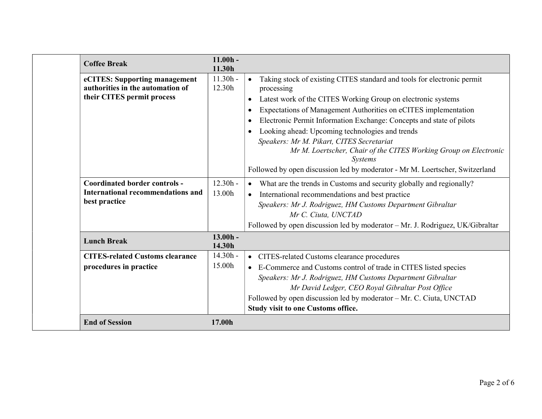| <b>Coffee Break</b>                                                                             | $11.00h -$<br>11.30h |                                                                                                                                                                                                                                                                                                                                                                                                                                                                                                                                                                                                  |
|-------------------------------------------------------------------------------------------------|----------------------|--------------------------------------------------------------------------------------------------------------------------------------------------------------------------------------------------------------------------------------------------------------------------------------------------------------------------------------------------------------------------------------------------------------------------------------------------------------------------------------------------------------------------------------------------------------------------------------------------|
| eCITES: Supporting management<br>authorities in the automation of<br>their CITES permit process | $11.30h -$<br>12.30h | Taking stock of existing CITES standard and tools for electronic permit<br>$\bullet$<br>processing<br>Latest work of the CITES Working Group on electronic systems<br>$\bullet$<br>Expectations of Management Authorities on eCITES implementation<br>Electronic Permit Information Exchange: Concepts and state of pilots<br>Looking ahead: Upcoming technologies and trends<br>Speakers: Mr M. Pikart, CITES Secretariat<br>Mr M. Loertscher, Chair of the CITES Working Group on Electronic<br><b>Systems</b><br>Followed by open discussion led by moderator - Mr M. Loertscher, Switzerland |
| <b>Coordinated border controls -</b><br>International recommendations and<br>best practice      | $12.30h -$<br>13.00h | What are the trends in Customs and security globally and regionally?<br>$\bullet$<br>International recommendations and best practice<br>$\bullet$<br>Speakers: Mr J. Rodriguez, HM Customs Department Gibraltar<br>Mr C. Ciuta, UNCTAD<br>Followed by open discussion led by moderator - Mr. J. Rodriguez, UK/Gibraltar                                                                                                                                                                                                                                                                          |
| <b>Lunch Break</b>                                                                              | $13.00h -$<br>14.30h |                                                                                                                                                                                                                                                                                                                                                                                                                                                                                                                                                                                                  |
| <b>CITES-related Customs clearance</b><br>procedures in practice                                | $14.30h -$<br>15.00h | • CITES-related Customs clearance procedures<br>• E-Commerce and Customs control of trade in CITES listed species<br>Speakers: Mr J. Rodriguez, HM Customs Department Gibraltar<br>Mr David Ledger, CEO Royal Gibraltar Post Office<br>Followed by open discussion led by moderator - Mr. C. Ciuta, UNCTAD<br>Study visit to one Customs office.                                                                                                                                                                                                                                                 |
| <b>End of Session</b>                                                                           | 17.00h               |                                                                                                                                                                                                                                                                                                                                                                                                                                                                                                                                                                                                  |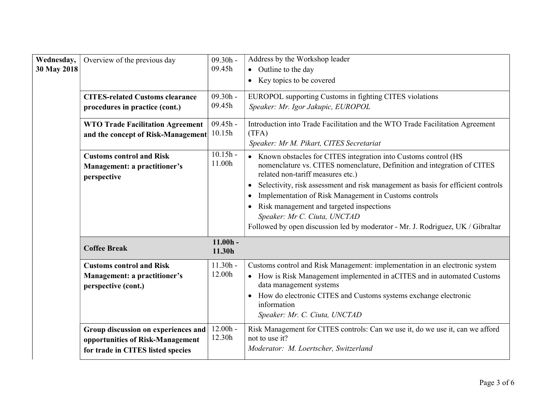| Wednesday,<br>30 May 2018 | Overview of the previous day<br><b>CITES-related Customs clearance</b><br>procedures in practice (cont.)<br><b>WTO Trade Facilitation Agreement</b><br>and the concept of Risk-Management | $09.30h -$<br>09.45h<br>$09.30h -$<br>09.45h<br>$09.45h -$<br>10.15h | Address by the Workshop leader<br>• Outline to the day<br>• Key topics to be covered<br>EUROPOL supporting Customs in fighting CITES violations<br>Speaker: Mr. Igor Jakupic, EUROPOL<br>Introduction into Trade Facilitation and the WTO Trade Facilitation Agreement<br>(TFA)<br>Speaker: Mr M. Pikart, CITES Secretariat                                                                                                                                                                                |
|---------------------------|-------------------------------------------------------------------------------------------------------------------------------------------------------------------------------------------|----------------------------------------------------------------------|------------------------------------------------------------------------------------------------------------------------------------------------------------------------------------------------------------------------------------------------------------------------------------------------------------------------------------------------------------------------------------------------------------------------------------------------------------------------------------------------------------|
|                           | <b>Customs control and Risk</b><br>Management: a practitioner's<br>perspective                                                                                                            | $10.15h -$<br>11.00h                                                 | • Known obstacles for CITES integration into Customs control (HS<br>nomenclature vs. CITES nomenclature, Definition and integration of CITES<br>related non-tariff measures etc.)<br>Selectivity, risk assessment and risk management as basis for efficient controls<br>$\bullet$<br>Implementation of Risk Management in Customs controls<br>Risk management and targeted inspections<br>Speaker: Mr C. Ciuta, UNCTAD<br>Followed by open discussion led by moderator - Mr. J. Rodriguez, UK / Gibraltar |
|                           | <b>Coffee Break</b>                                                                                                                                                                       | $11.00h -$<br>11.30h                                                 |                                                                                                                                                                                                                                                                                                                                                                                                                                                                                                            |
|                           | <b>Customs control and Risk</b><br>Management: a practitioner's<br>perspective (cont.)                                                                                                    | $11.30h -$<br>12.00h                                                 | Customs control and Risk Management: implementation in an electronic system<br>• How is Risk Management implemented in aCITES and in automated Customs<br>data management systems<br>• How do electronic CITES and Customs systems exchange electronic<br>information<br>Speaker: Mr. C. Ciuta, UNCTAD                                                                                                                                                                                                     |
|                           | Group discussion on experiences and<br>opportunities of Risk-Management<br>for trade in CITES listed species                                                                              | $12.00h -$<br>12.30h                                                 | Risk Management for CITES controls: Can we use it, do we use it, can we afford<br>not to use it?<br>Moderator: M. Loertscher, Switzerland                                                                                                                                                                                                                                                                                                                                                                  |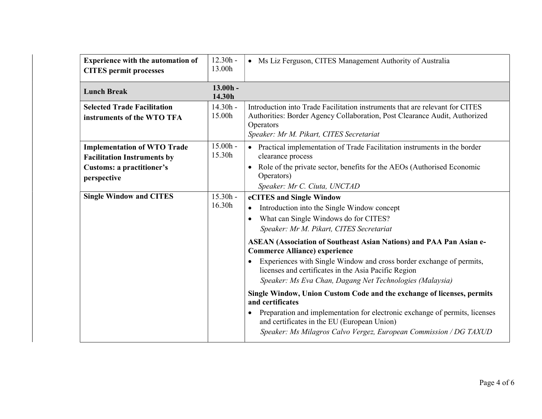| <b>Experience with the automation of</b><br><b>CITES</b> permit processes                                                   | $12.30h -$<br>13.00h | • Ms Liz Ferguson, CITES Management Authority of Australia                                                                                                                                                                                                                                                                                                                                                                                                                                                                                                                                                                                                                                                                                                                                                |
|-----------------------------------------------------------------------------------------------------------------------------|----------------------|-----------------------------------------------------------------------------------------------------------------------------------------------------------------------------------------------------------------------------------------------------------------------------------------------------------------------------------------------------------------------------------------------------------------------------------------------------------------------------------------------------------------------------------------------------------------------------------------------------------------------------------------------------------------------------------------------------------------------------------------------------------------------------------------------------------|
| <b>Lunch Break</b>                                                                                                          | $13.00h -$<br>14.30h |                                                                                                                                                                                                                                                                                                                                                                                                                                                                                                                                                                                                                                                                                                                                                                                                           |
| <b>Selected Trade Facilitation</b><br>instruments of the WTO TFA                                                            | $14.30h -$<br>15.00h | Introduction into Trade Facilitation instruments that are relevant for CITES<br>Authorities: Border Agency Collaboration, Post Clearance Audit, Authorized<br>Operators<br>Speaker: Mr M. Pikart, CITES Secretariat                                                                                                                                                                                                                                                                                                                                                                                                                                                                                                                                                                                       |
| <b>Implementation of WTO Trade</b><br><b>Facilitation Instruments by</b><br><b>Customs: a practitioner's</b><br>perspective | $15.00h -$<br>15.30h | • Practical implementation of Trade Facilitation instruments in the border<br>clearance process<br>Role of the private sector, benefits for the AEOs (Authorised Economic<br>$\bullet$<br>Operators)<br>Speaker: Mr C. Ciuta, UNCTAD                                                                                                                                                                                                                                                                                                                                                                                                                                                                                                                                                                      |
| <b>Single Window and CITES</b>                                                                                              | $15.30h -$<br>16.30h | eCITES and Single Window<br>Introduction into the Single Window concept<br>What can Single Windows do for CITES?<br>$\bullet$<br>Speaker: Mr M. Pikart, CITES Secretariat<br><b>ASEAN (Association of Southeast Asian Nations) and PAA Pan Asian e-</b><br><b>Commerce Alliance) experience</b><br>Experiences with Single Window and cross border exchange of permits,<br>licenses and certificates in the Asia Pacific Region<br>Speaker: Ms Eva Chan, Dagang Net Technologies (Malaysia)<br>Single Window, Union Custom Code and the exchange of licenses, permits<br>and certificates<br>Preparation and implementation for electronic exchange of permits, licenses<br>$\bullet$<br>and certificates in the EU (European Union)<br>Speaker: Ms Milagros Calvo Vergez, European Commission / DG TAXUD |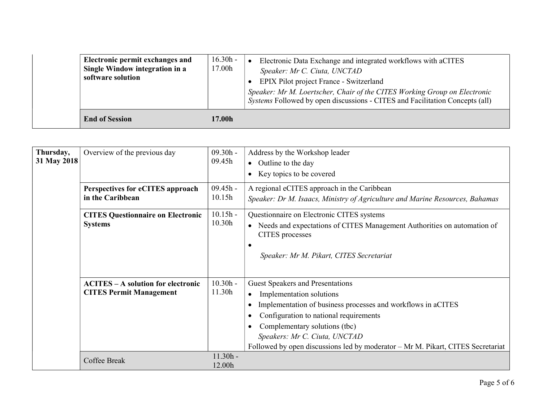| Electronic permit exchanges and<br>Single Window integration in a<br>software solution | $16.30h -$<br>17.00h | Electronic Data Exchange and integrated workflows with aCITES<br>Speaker: Mr C. Ciuta, UNCTAD<br>EPIX Pilot project France - Switzerland<br>Speaker: Mr M. Loertscher, Chair of the CITES Working Group on Electronic<br>Systems Followed by open discussions - CITES and Facilitation Concepts (all) |
|----------------------------------------------------------------------------------------|----------------------|-------------------------------------------------------------------------------------------------------------------------------------------------------------------------------------------------------------------------------------------------------------------------------------------------------|
| <b>End of Session</b>                                                                  | 17.00h               |                                                                                                                                                                                                                                                                                                       |

| Thursday,<br>31 May 2018 | Overview of the previous day<br>Perspectives for eCITES approach<br>in the Caribbean | $09.30h -$<br>09.45h<br>$09.45h -$<br>10.15h | Address by the Workshop leader<br>• Outline to the day<br>Key topics to be covered<br>A regional eCITES approach in the Caribbean<br>Speaker: Dr M. Isaacs, Ministry of Agriculture and Marine Resources, Bahamas                                                                                                                  |
|--------------------------|--------------------------------------------------------------------------------------|----------------------------------------------|------------------------------------------------------------------------------------------------------------------------------------------------------------------------------------------------------------------------------------------------------------------------------------------------------------------------------------|
|                          | <b>CITES Questionnaire on Electronic</b><br><b>Systems</b>                           | $10.15h -$<br>10.30h                         | Questionnaire on Electronic CITES systems<br>Needs and expectations of CITES Management Authorities on automation of<br>$\bullet$<br>CITES processes<br>Speaker: Mr M. Pikart, CITES Secretariat                                                                                                                                   |
|                          | <b>ACITES – A solution for electronic</b><br><b>CITES Permit Management</b>          | $10.30h -$<br>11.30h                         | <b>Guest Speakers and Presentations</b><br>Implementation solutions<br>Implementation of business processes and workflows in aCITES<br>Configuration to national requirements<br>Complementary solutions (tbc)<br>Speakers: Mr C. Ciuta, UNCTAD<br>Followed by open discussions led by moderator – Mr M. Pikart, CITES Secretariat |
|                          | <b>Coffee Break</b>                                                                  | $11.30h -$<br>12.00h                         |                                                                                                                                                                                                                                                                                                                                    |